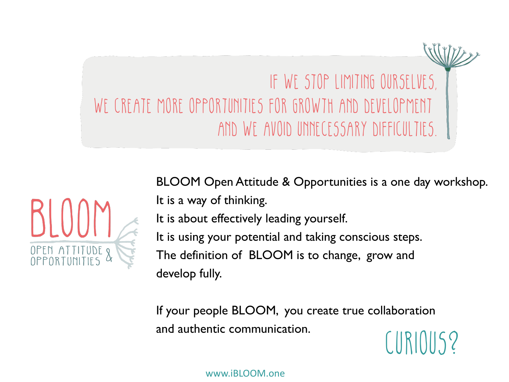



BLOOM Open Attitude & Opportunities is a one day workshop.

It is a way of thinking.

It is about effectively leading yourself.

It is using your potential and taking conscious steps.

The definition of BLOOM is to change, grow and develop fully.

If your people BLOOM, you create true collaboration and authentic communication.  $\begin{array}{c} \begin{array}{c} \begin{array}{c} \end{array} \end{array}$ 

www.iBLOOM.one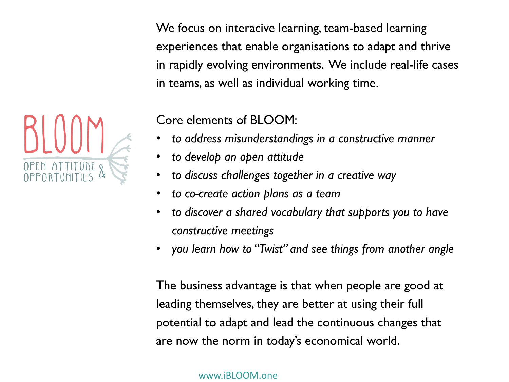We focus on interacive learning, team-based learning experiences that enable organisations to adapt and thrive in rapidly evolving environments. We include real-life cases in teams, as well as individual working time.



Core elements of BLOOM:

- *to address misunderstandings in a constructive manner*
- *to develop an open attitude*
- *to discuss challenges together in a creative way*
- *to co-create action plans as a team*
- *to discover a shared vocabulary that supports you to have constructive meetings*
- *you learn how to "Twist" and see things from another angle*

The business advantage is that when people are good at leading themselves, they are better at using their full potential to adapt and lead the continuous changes that are now the norm in today's economical world.

www.iBLOOM.one